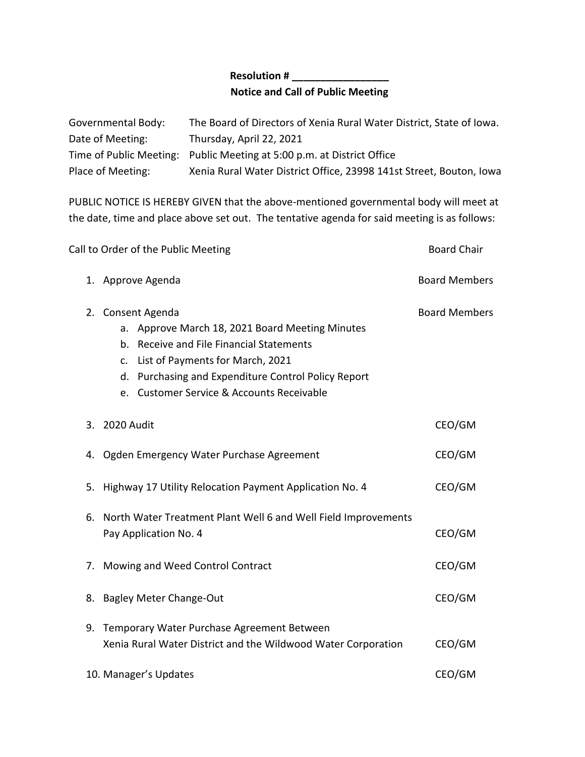## **Resolution # \_\_\_\_\_\_\_\_\_\_\_\_\_\_\_\_\_ Notice and Call of Public Meeting**

| Governmental Body: | The Board of Directors of Xenia Rural Water District, State of Iowa.   |
|--------------------|------------------------------------------------------------------------|
| Date of Meeting:   | Thursday, April 22, 2021                                               |
|                    | Time of Public Meeting: Public Meeting at 5:00 p.m. at District Office |
| Place of Meeting:  | Xenia Rural Water District Office, 23998 141st Street, Bouton, Iowa    |

PUBLIC NOTICE IS HEREBY GIVEN that the above-mentioned governmental body will meet at the date, time and place above set out. The tentative agenda for said meeting is as follows:

|    | Call to Order of the Public Meeting                                                                                                                                                                                                                         | <b>Board Chair</b>   |
|----|-------------------------------------------------------------------------------------------------------------------------------------------------------------------------------------------------------------------------------------------------------------|----------------------|
|    | 1. Approve Agenda                                                                                                                                                                                                                                           | <b>Board Members</b> |
| 2. | Consent Agenda<br>a. Approve March 18, 2021 Board Meeting Minutes<br>b. Receive and File Financial Statements<br>List of Payments for March, 2021<br>c.<br>d. Purchasing and Expenditure Control Policy Report<br>e. Customer Service & Accounts Receivable | <b>Board Members</b> |
|    | 3. 2020 Audit                                                                                                                                                                                                                                               | CEO/GM               |
|    | 4. Ogden Emergency Water Purchase Agreement                                                                                                                                                                                                                 | CEO/GM               |
| 5. | Highway 17 Utility Relocation Payment Application No. 4                                                                                                                                                                                                     | CEO/GM               |
| 6. | North Water Treatment Plant Well 6 and Well Field Improvements<br>Pay Application No. 4                                                                                                                                                                     | CEO/GM               |
| 7. | Mowing and Weed Control Contract                                                                                                                                                                                                                            | CEO/GM               |
|    | 8. Bagley Meter Change-Out                                                                                                                                                                                                                                  | CEO/GM               |
|    | 9. Temporary Water Purchase Agreement Between<br>Xenia Rural Water District and the Wildwood Water Corporation                                                                                                                                              | CEO/GM               |
|    | 10. Manager's Updates                                                                                                                                                                                                                                       | CEO/GM               |